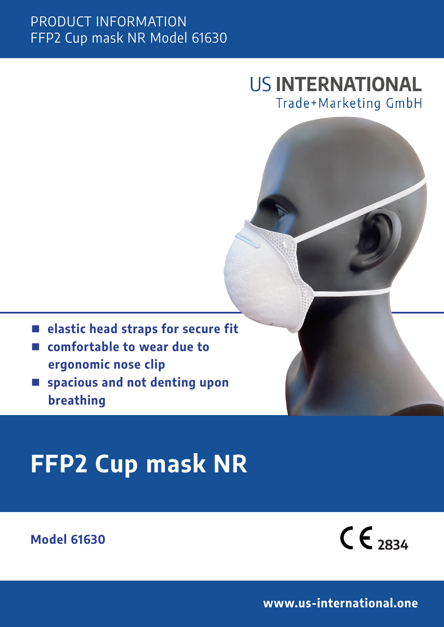#### PRODUCT INFORMATION FFP2 Cup mask NR Model 61630

## **US INTERNATIONAL** Trade+Marketing GmbH

- elastic head straps for secure fit
- n **comfortable to wear due to ergonomic nose clip**
- spacious and not denting upon  **breathing**

# **FFP2 Cup mask NR**

**Model 61630**



**www.us-international.one**